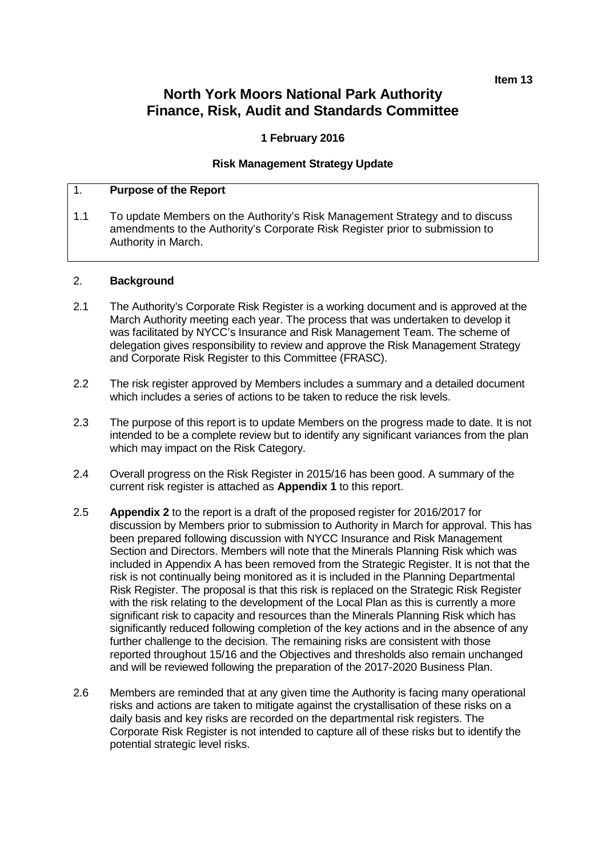**Item 13**

# **North York Moors National Park Authority Finance, Risk, Audit and Standards Committee**

## **1 February 2016**

## **Risk Management Strategy Update**

## 1. **Purpose of the Report**

1.1 To update Members on the Authority's Risk Management Strategy and to discuss amendments to the Authority's Corporate Risk Register prior to submission to Authority in March.

## 2. **Background**

- 2.1 The Authority's Corporate Risk Register is a working document and is approved at the March Authority meeting each year. The process that was undertaken to develop it was facilitated by NYCC's Insurance and Risk Management Team. The scheme of delegation gives responsibility to review and approve the Risk Management Strategy and Corporate Risk Register to this Committee (FRASC).
- 2.2 The risk register approved by Members includes a summary and a detailed document which includes a series of actions to be taken to reduce the risk levels.
- 2.3 The purpose of this report is to update Members on the progress made to date. It is not intended to be a complete review but to identify any significant variances from the plan which may impact on the Risk Category.
- 2.4 Overall progress on the Risk Register in 2015/16 has been good. A summary of the current risk register is attached as **Appendix 1** to this report.
- 2.5 **Appendix 2** to the report is a draft of the proposed register for 2016/2017 for discussion by Members prior to submission to Authority in March for approval. This has been prepared following discussion with NYCC Insurance and Risk Management Section and Directors. Members will note that the Minerals Planning Risk which was included in Appendix A has been removed from the Strategic Register. It is not that the risk is not continually being monitored as it is included in the Planning Departmental Risk Register. The proposal is that this risk is replaced on the Strategic Risk Register with the risk relating to the development of the Local Plan as this is currently a more significant risk to capacity and resources than the Minerals Planning Risk which has significantly reduced following completion of the key actions and in the absence of any further challenge to the decision. The remaining risks are consistent with those reported throughout 15/16 and the Objectives and thresholds also remain unchanged and will be reviewed following the preparation of the 2017-2020 Business Plan.
- 2.6 Members are reminded that at any given time the Authority is facing many operational risks and actions are taken to mitigate against the crystallisation of these risks on a daily basis and key risks are recorded on the departmental risk registers. The Corporate Risk Register is not intended to capture all of these risks but to identify the potential strategic level risks.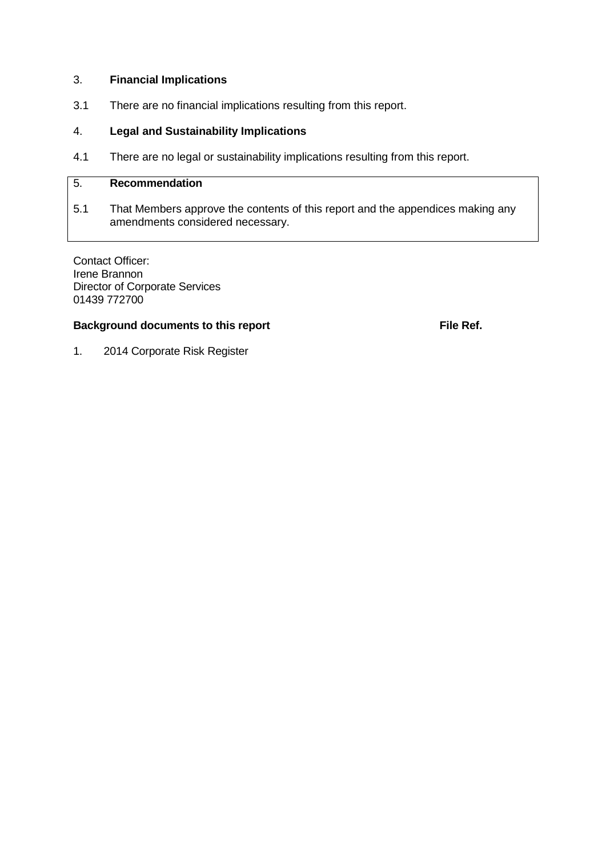## 3. **Financial Implications**

3.1 There are no financial implications resulting from this report.

## 4. **Legal and Sustainability Implications**

4.1 There are no legal or sustainability implications resulting from this report.

## 5. **Recommendation**

5.1 That Members approve the contents of this report and the appendices making any amendments considered necessary.

Contact Officer: Irene Brannon Director of Corporate Services 01439 772700

## **Background documents to this report File Ref. File Ref.**

1. 2014 Corporate Risk Register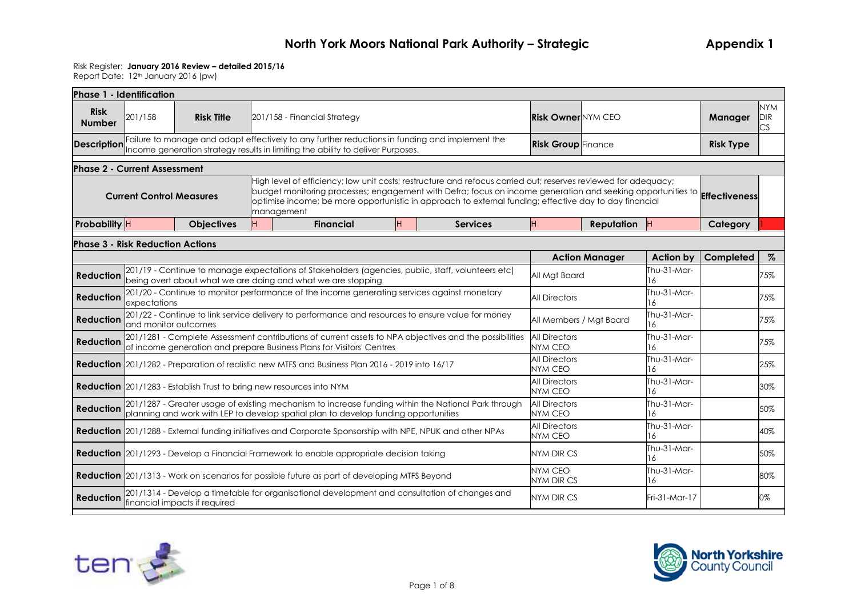### Risk Register: **January 2016 Review – detailed 2015/16**

| <b>NYM</b><br><b>Risk</b><br><b>Risk Owner NYM CEO</b><br>201/158<br><b>Risk Title</b><br>Manager<br><b>DIR</b><br>201/158 - Financial Strategy<br><b>Number</b><br>ĊS.<br>Failure to manage and adapt effectively to any further reductions in funding and implement the<br><b>Risk Group</b> Finance<br><b>Risk Type</b><br><b>Description</b> Income generation strategy results in limiting the ability to deliver Purposes.<br><b>Phase 2 - Current Assessment</b><br>High level of efficiency; low unit costs; restructure and refocus carried out; reserves reviewed for adequacy;<br>budget monitoring processes; engagement with Defra; focus on income generation and seeking opportunities to <b>Effectiveness</b><br><b>Current Control Measures</b><br>optimise income; be more opportunistic in approach to external funding; effective day to day financial<br>management<br>H.<br>H<br>Probability H<br><b>Financial</b><br><b>Services</b><br><b>Reputation</b><br>Category<br><b>Objectives</b><br><b>Phase 3 - Risk Reduction Actions</b><br>$\%$<br><b>Action Manager</b><br><b>Action by</b><br>Completed<br>201/19 - Continue to manage expectations of Stakeholders (agencies, public, staff, volunteers etc)<br>Thu-31-Mar-<br><b>Reduction</b><br>75%<br>All Mgt Board<br>being overt about what we are doing and what we are stopping<br>16<br>Thu-31-Mar-<br>201/20 - Continue to monitor performance of the income generating services against monetary<br>75%<br><b>Reduction</b><br><b>All Directors</b><br>expectations<br>16<br>201/22 - Continue to link service delivery to performance and resources to ensure value for money<br>Thu-31-Mar-<br><b>Reduction</b><br>75%<br>All Members / Mat Board<br>and monitor outcomes<br>16<br>201/1281 - Complete Assessment contributions of current assets to NPA objectives and the possibilities<br><b>All Directors</b><br>Thu-31-Mar-<br>75%<br><b>Reduction</b><br><b>NYM CEO</b><br>of income generation and prepare Business Plans for Visitors' Centres<br>6<br><b>All Directors</b><br>Thu-31-Mar-<br>25%<br><b>Reduction</b> 201/1282 - Preparation of realistic new MTFS and Business Plan 2016 - 2019 into 16/17<br><b>NYM CEO</b><br>6<br><b>All Directors</b><br>Thu-31-Mar-<br>30%<br><b>Reduction</b> 201/1283 - Establish Trust to bring new resources into NYM<br><b>NYM CEO</b><br>16<br>201/1287 - Greater usage of existing mechanism to increase funding within the National Park through<br>Thu-31-Mar-<br><b>All Directors</b><br><b>Reduction</b><br>50%<br>planning and work with LEP to develop spatial plan to develop funding opportunities<br><b>NYM CEO</b><br>16<br>Thu-31-Mar-<br><b>All Directors</b><br>Reduction 201/1288 - External funding initiatives and Corporate Sponsorship with NPE, NPUK and other NPAs<br>40%<br><b>NYM CEO</b><br>6<br>Thu-31-Mar-<br><b>Reduction</b> 201/1293 - Develop a Financial Framework to enable appropriate decision taking<br><b>NYM DIR CS</b><br>50%<br>6<br><b>NYM CEO</b><br>Thu-31-Mar-<br><b>Reduction</b> 201/1313 - Work on scenarios for possible future as part of developing MTFS Beyond<br>80%<br><b>NYM DIR CS</b><br>16<br>201/1314 - Develop a timetable for organisational development and consultation of changes and<br><b>Reduction</b><br><b>NYM DIR CS</b><br>Fri-31-Mar-17<br>0%<br>financial impacts if required | Phase 1 - Identification |  |  |  |  |  |  |  |  |
|-----------------------------------------------------------------------------------------------------------------------------------------------------------------------------------------------------------------------------------------------------------------------------------------------------------------------------------------------------------------------------------------------------------------------------------------------------------------------------------------------------------------------------------------------------------------------------------------------------------------------------------------------------------------------------------------------------------------------------------------------------------------------------------------------------------------------------------------------------------------------------------------------------------------------------------------------------------------------------------------------------------------------------------------------------------------------------------------------------------------------------------------------------------------------------------------------------------------------------------------------------------------------------------------------------------------------------------------------------------------------------------------------------------------------------------------------------------------------------------------------------------------------------------------------------------------------------------------------------------------------------------------------------------------------------------------------------------------------------------------------------------------------------------------------------------------------------------------------------------------------------------------------------------------------------------------------------------------------------------------------------------------------------------------------------------------------------------------------------------------------------------------------------------------------------------------------------------------------------------------------------------------------------------------------------------------------------------------------------------------------------------------------------------------------------------------------------------------------------------------------------------------------------------------------------------------------------------------------------------------------------------------------------------------------------------------------------------------------------------------------------------------------------------------------------------------------------------------------------------------------------------------------------------------------------------------------------------------------------------------------------------------------------------------------------------------------------------------------------------------------------------------------------------------------------------------------------------------------------------------------------------------------------------------------------------------------------------------------------------------------------------------------|--------------------------|--|--|--|--|--|--|--|--|
|                                                                                                                                                                                                                                                                                                                                                                                                                                                                                                                                                                                                                                                                                                                                                                                                                                                                                                                                                                                                                                                                                                                                                                                                                                                                                                                                                                                                                                                                                                                                                                                                                                                                                                                                                                                                                                                                                                                                                                                                                                                                                                                                                                                                                                                                                                                                                                                                                                                                                                                                                                                                                                                                                                                                                                                                                                                                                                                                                                                                                                                                                                                                                                                                                                                                                                                                                                                               |                          |  |  |  |  |  |  |  |  |
|                                                                                                                                                                                                                                                                                                                                                                                                                                                                                                                                                                                                                                                                                                                                                                                                                                                                                                                                                                                                                                                                                                                                                                                                                                                                                                                                                                                                                                                                                                                                                                                                                                                                                                                                                                                                                                                                                                                                                                                                                                                                                                                                                                                                                                                                                                                                                                                                                                                                                                                                                                                                                                                                                                                                                                                                                                                                                                                                                                                                                                                                                                                                                                                                                                                                                                                                                                                               |                          |  |  |  |  |  |  |  |  |
|                                                                                                                                                                                                                                                                                                                                                                                                                                                                                                                                                                                                                                                                                                                                                                                                                                                                                                                                                                                                                                                                                                                                                                                                                                                                                                                                                                                                                                                                                                                                                                                                                                                                                                                                                                                                                                                                                                                                                                                                                                                                                                                                                                                                                                                                                                                                                                                                                                                                                                                                                                                                                                                                                                                                                                                                                                                                                                                                                                                                                                                                                                                                                                                                                                                                                                                                                                                               |                          |  |  |  |  |  |  |  |  |
|                                                                                                                                                                                                                                                                                                                                                                                                                                                                                                                                                                                                                                                                                                                                                                                                                                                                                                                                                                                                                                                                                                                                                                                                                                                                                                                                                                                                                                                                                                                                                                                                                                                                                                                                                                                                                                                                                                                                                                                                                                                                                                                                                                                                                                                                                                                                                                                                                                                                                                                                                                                                                                                                                                                                                                                                                                                                                                                                                                                                                                                                                                                                                                                                                                                                                                                                                                                               |                          |  |  |  |  |  |  |  |  |
|                                                                                                                                                                                                                                                                                                                                                                                                                                                                                                                                                                                                                                                                                                                                                                                                                                                                                                                                                                                                                                                                                                                                                                                                                                                                                                                                                                                                                                                                                                                                                                                                                                                                                                                                                                                                                                                                                                                                                                                                                                                                                                                                                                                                                                                                                                                                                                                                                                                                                                                                                                                                                                                                                                                                                                                                                                                                                                                                                                                                                                                                                                                                                                                                                                                                                                                                                                                               |                          |  |  |  |  |  |  |  |  |
|                                                                                                                                                                                                                                                                                                                                                                                                                                                                                                                                                                                                                                                                                                                                                                                                                                                                                                                                                                                                                                                                                                                                                                                                                                                                                                                                                                                                                                                                                                                                                                                                                                                                                                                                                                                                                                                                                                                                                                                                                                                                                                                                                                                                                                                                                                                                                                                                                                                                                                                                                                                                                                                                                                                                                                                                                                                                                                                                                                                                                                                                                                                                                                                                                                                                                                                                                                                               |                          |  |  |  |  |  |  |  |  |
|                                                                                                                                                                                                                                                                                                                                                                                                                                                                                                                                                                                                                                                                                                                                                                                                                                                                                                                                                                                                                                                                                                                                                                                                                                                                                                                                                                                                                                                                                                                                                                                                                                                                                                                                                                                                                                                                                                                                                                                                                                                                                                                                                                                                                                                                                                                                                                                                                                                                                                                                                                                                                                                                                                                                                                                                                                                                                                                                                                                                                                                                                                                                                                                                                                                                                                                                                                                               |                          |  |  |  |  |  |  |  |  |
|                                                                                                                                                                                                                                                                                                                                                                                                                                                                                                                                                                                                                                                                                                                                                                                                                                                                                                                                                                                                                                                                                                                                                                                                                                                                                                                                                                                                                                                                                                                                                                                                                                                                                                                                                                                                                                                                                                                                                                                                                                                                                                                                                                                                                                                                                                                                                                                                                                                                                                                                                                                                                                                                                                                                                                                                                                                                                                                                                                                                                                                                                                                                                                                                                                                                                                                                                                                               |                          |  |  |  |  |  |  |  |  |
|                                                                                                                                                                                                                                                                                                                                                                                                                                                                                                                                                                                                                                                                                                                                                                                                                                                                                                                                                                                                                                                                                                                                                                                                                                                                                                                                                                                                                                                                                                                                                                                                                                                                                                                                                                                                                                                                                                                                                                                                                                                                                                                                                                                                                                                                                                                                                                                                                                                                                                                                                                                                                                                                                                                                                                                                                                                                                                                                                                                                                                                                                                                                                                                                                                                                                                                                                                                               |                          |  |  |  |  |  |  |  |  |
|                                                                                                                                                                                                                                                                                                                                                                                                                                                                                                                                                                                                                                                                                                                                                                                                                                                                                                                                                                                                                                                                                                                                                                                                                                                                                                                                                                                                                                                                                                                                                                                                                                                                                                                                                                                                                                                                                                                                                                                                                                                                                                                                                                                                                                                                                                                                                                                                                                                                                                                                                                                                                                                                                                                                                                                                                                                                                                                                                                                                                                                                                                                                                                                                                                                                                                                                                                                               |                          |  |  |  |  |  |  |  |  |
|                                                                                                                                                                                                                                                                                                                                                                                                                                                                                                                                                                                                                                                                                                                                                                                                                                                                                                                                                                                                                                                                                                                                                                                                                                                                                                                                                                                                                                                                                                                                                                                                                                                                                                                                                                                                                                                                                                                                                                                                                                                                                                                                                                                                                                                                                                                                                                                                                                                                                                                                                                                                                                                                                                                                                                                                                                                                                                                                                                                                                                                                                                                                                                                                                                                                                                                                                                                               |                          |  |  |  |  |  |  |  |  |
|                                                                                                                                                                                                                                                                                                                                                                                                                                                                                                                                                                                                                                                                                                                                                                                                                                                                                                                                                                                                                                                                                                                                                                                                                                                                                                                                                                                                                                                                                                                                                                                                                                                                                                                                                                                                                                                                                                                                                                                                                                                                                                                                                                                                                                                                                                                                                                                                                                                                                                                                                                                                                                                                                                                                                                                                                                                                                                                                                                                                                                                                                                                                                                                                                                                                                                                                                                                               |                          |  |  |  |  |  |  |  |  |
|                                                                                                                                                                                                                                                                                                                                                                                                                                                                                                                                                                                                                                                                                                                                                                                                                                                                                                                                                                                                                                                                                                                                                                                                                                                                                                                                                                                                                                                                                                                                                                                                                                                                                                                                                                                                                                                                                                                                                                                                                                                                                                                                                                                                                                                                                                                                                                                                                                                                                                                                                                                                                                                                                                                                                                                                                                                                                                                                                                                                                                                                                                                                                                                                                                                                                                                                                                                               |                          |  |  |  |  |  |  |  |  |
|                                                                                                                                                                                                                                                                                                                                                                                                                                                                                                                                                                                                                                                                                                                                                                                                                                                                                                                                                                                                                                                                                                                                                                                                                                                                                                                                                                                                                                                                                                                                                                                                                                                                                                                                                                                                                                                                                                                                                                                                                                                                                                                                                                                                                                                                                                                                                                                                                                                                                                                                                                                                                                                                                                                                                                                                                                                                                                                                                                                                                                                                                                                                                                                                                                                                                                                                                                                               |                          |  |  |  |  |  |  |  |  |
|                                                                                                                                                                                                                                                                                                                                                                                                                                                                                                                                                                                                                                                                                                                                                                                                                                                                                                                                                                                                                                                                                                                                                                                                                                                                                                                                                                                                                                                                                                                                                                                                                                                                                                                                                                                                                                                                                                                                                                                                                                                                                                                                                                                                                                                                                                                                                                                                                                                                                                                                                                                                                                                                                                                                                                                                                                                                                                                                                                                                                                                                                                                                                                                                                                                                                                                                                                                               |                          |  |  |  |  |  |  |  |  |
|                                                                                                                                                                                                                                                                                                                                                                                                                                                                                                                                                                                                                                                                                                                                                                                                                                                                                                                                                                                                                                                                                                                                                                                                                                                                                                                                                                                                                                                                                                                                                                                                                                                                                                                                                                                                                                                                                                                                                                                                                                                                                                                                                                                                                                                                                                                                                                                                                                                                                                                                                                                                                                                                                                                                                                                                                                                                                                                                                                                                                                                                                                                                                                                                                                                                                                                                                                                               |                          |  |  |  |  |  |  |  |  |
|                                                                                                                                                                                                                                                                                                                                                                                                                                                                                                                                                                                                                                                                                                                                                                                                                                                                                                                                                                                                                                                                                                                                                                                                                                                                                                                                                                                                                                                                                                                                                                                                                                                                                                                                                                                                                                                                                                                                                                                                                                                                                                                                                                                                                                                                                                                                                                                                                                                                                                                                                                                                                                                                                                                                                                                                                                                                                                                                                                                                                                                                                                                                                                                                                                                                                                                                                                                               |                          |  |  |  |  |  |  |  |  |
|                                                                                                                                                                                                                                                                                                                                                                                                                                                                                                                                                                                                                                                                                                                                                                                                                                                                                                                                                                                                                                                                                                                                                                                                                                                                                                                                                                                                                                                                                                                                                                                                                                                                                                                                                                                                                                                                                                                                                                                                                                                                                                                                                                                                                                                                                                                                                                                                                                                                                                                                                                                                                                                                                                                                                                                                                                                                                                                                                                                                                                                                                                                                                                                                                                                                                                                                                                                               |                          |  |  |  |  |  |  |  |  |



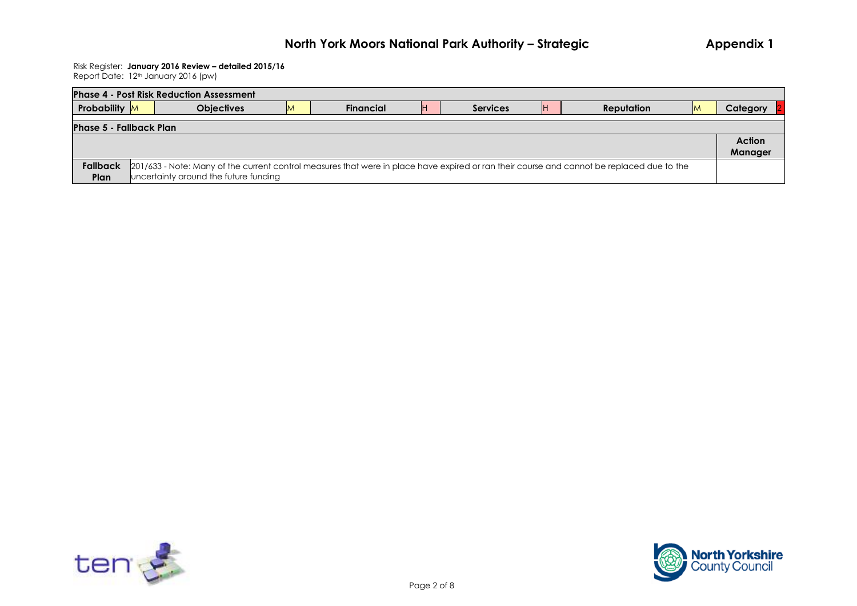## Risk Register: **January 2016 Review – detailed 2015/16**

| Report Date: 12 <sup>th</sup> January 2016 (pw) |  |
|-------------------------------------------------|--|
|-------------------------------------------------|--|

|                                | <b>Phase 4 - Post Risk Reduction Assessment</b>                                                                                            |           |                 |    |            |   |               |
|--------------------------------|--------------------------------------------------------------------------------------------------------------------------------------------|-----------|-----------------|----|------------|---|---------------|
| <b>Probability</b> M           | <b>Objectives</b>                                                                                                                          | Financial | <b>Services</b> | ΙH | Reputation | M | Category      |
| <b>Phase 5 - Fallback Plan</b> |                                                                                                                                            |           |                 |    |            |   |               |
|                                |                                                                                                                                            |           |                 |    |            |   | <b>Action</b> |
|                                |                                                                                                                                            |           |                 |    |            |   | Manager       |
| <b>Fallback</b>                | 201/633 - Note: Many of the current control measures that were in place have expired or ran their course and cannot be replaced due to the |           |                 |    |            |   |               |
| Plan                           | uncertainty around the future funding                                                                                                      |           |                 |    |            |   |               |



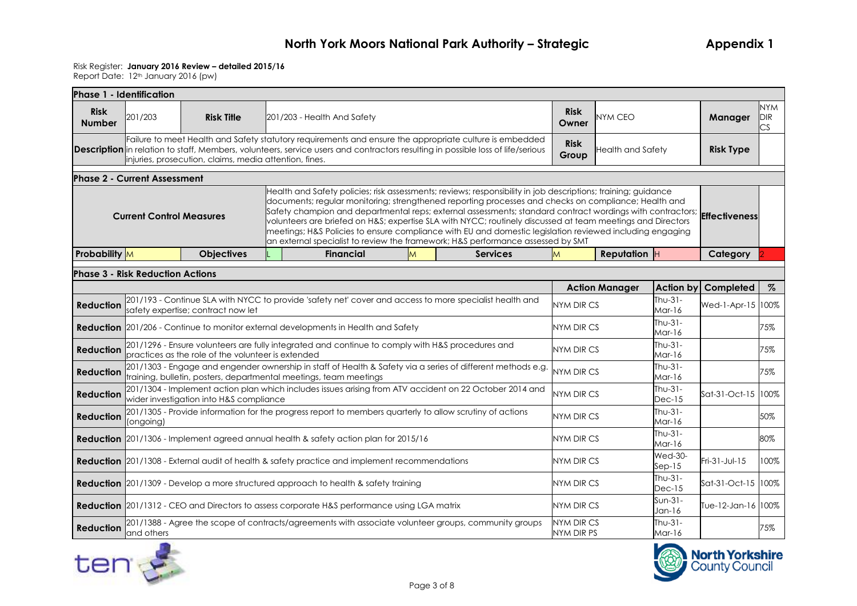#### Risk Register: **January 2016 Review – detailed 2015/16**

| Phase 1 - Identification     |                                                                                                      |                                                        |                                                                                 |                                                                                                                                                                                                                                                                                                                                                                                                                                                                                                                                                                                  |                            |                     |                                 |                          |                     |                    |                                |
|------------------------------|------------------------------------------------------------------------------------------------------|--------------------------------------------------------|---------------------------------------------------------------------------------|----------------------------------------------------------------------------------------------------------------------------------------------------------------------------------------------------------------------------------------------------------------------------------------------------------------------------------------------------------------------------------------------------------------------------------------------------------------------------------------------------------------------------------------------------------------------------------|----------------------------|---------------------|---------------------------------|--------------------------|---------------------|--------------------|--------------------------------|
| <b>Risk</b><br><b>Number</b> | 201/203                                                                                              | <b>Risk Title</b>                                      |                                                                                 | 201/203 - Health And Safety                                                                                                                                                                                                                                                                                                                                                                                                                                                                                                                                                      |                            |                     | <b>Risk</b><br>Owner            | <b>NYM CEO</b>           |                     | Manager            | <b>NYM</b><br><b>DIR</b><br>CS |
|                              |                                                                                                      | injuries, prosecution, claims, media attention, fines. |                                                                                 | Failure to meet Health and Safety statutory requirements and ensure the appropriate culture is embedded<br>Description in relation to staff, Members, volunteers, service users and contractors resulting in possible loss of life/serious                                                                                                                                                                                                                                                                                                                                       |                            |                     | <b>Risk</b><br>Group            | <b>Health and Safety</b> |                     | <b>Risk Type</b>   |                                |
|                              | <b>Phase 2 - Current Assessment</b>                                                                  |                                                        |                                                                                 |                                                                                                                                                                                                                                                                                                                                                                                                                                                                                                                                                                                  |                            |                     |                                 |                          |                     |                    |                                |
|                              | <b>Current Control Measures</b>                                                                      |                                                        | an external specialist to review the framework; H&S performance assessed by SMT | Health and Safety policies; risk assessments; reviews; responsibility in job descriptions; training; guidance<br>documents; regular monitoring; strengthened reporting processes and checks on compliance; Health and<br>Safety champion and departmental reps; external assessments; standard contract wordings with contractors; <b>Effectiveness</b><br>volunteers are briefed on H&S expertise SLA with NYCC; routinely discussed at team meetings and Directors<br>meetings; H&S Policies to ensure compliance with EU and domestic legislation reviewed including engaging |                            |                     |                                 |                          |                     |                    |                                |
| <b>Probability</b> M         |                                                                                                      | <b>Objectives</b>                                      |                                                                                 | <b>Services</b>                                                                                                                                                                                                                                                                                                                                                                                                                                                                                                                                                                  | M                          | <b>Reputation H</b> |                                 | Category                 |                     |                    |                                |
|                              | <b>Phase 3 - Risk Reduction Actions</b>                                                              |                                                        |                                                                                 |                                                                                                                                                                                                                                                                                                                                                                                                                                                                                                                                                                                  |                            |                     |                                 |                          |                     |                    |                                |
|                              |                                                                                                      |                                                        |                                                                                 |                                                                                                                                                                                                                                                                                                                                                                                                                                                                                                                                                                                  |                            |                     |                                 | <b>Action Manager</b>    | Action by           | Completed          | $\%$                           |
| <b>Reduction</b>             |                                                                                                      | safety expertise; contract now let                     |                                                                                 | 201/193 - Continue SLA with NYCC to provide 'safety net' cover and access to more specialist health and                                                                                                                                                                                                                                                                                                                                                                                                                                                                          |                            |                     | <b>NYM DIR CS</b>               |                          | $Thu-31-$<br>Mar-16 | Wed-1-Apr-15 100%  |                                |
|                              |                                                                                                      |                                                        |                                                                                 | <b>Reduction</b> 201/206 - Continue to monitor external developments in Health and Safety                                                                                                                                                                                                                                                                                                                                                                                                                                                                                        |                            |                     | <b>NYM DIR CS</b>               |                          | Thu-31-<br>Mar-16   |                    | 75%                            |
| <b>Reduction</b>             |                                                                                                      | practices as the role of the volunteer is extended     |                                                                                 | 201/1296 - Ensure volunteers are fully integrated and continue to comply with H&S procedures and                                                                                                                                                                                                                                                                                                                                                                                                                                                                                 |                            |                     | NYM DIR CS                      |                          | Thu-31-<br>Mar-16   |                    | 75%                            |
| <b>Reduction</b>             |                                                                                                      |                                                        |                                                                                 | 201/1303 - Engage and engender ownership in staff of Health & Safety via a series of different methods e.g.<br>training, bulletin, posters, departmental meetings, team meetings                                                                                                                                                                                                                                                                                                                                                                                                 |                            |                     | <b>NYM DIR CS</b>               |                          | $Thu-31-$<br>Mar-16 |                    | 75%                            |
| <b>Reduction</b>             |                                                                                                      | wider investigation into H&S compliance                |                                                                                 | 201/1304 - Implement action plan which includes issues arising from ATV accident on 22 October 2014 and                                                                                                                                                                                                                                                                                                                                                                                                                                                                          |                            |                     | <b>NYM DIR CS</b>               |                          | Thu-31-<br>$Dec-15$ | Sat-31-Oct-15 100% |                                |
| <b>Reduction</b>             | (ongoing)                                                                                            |                                                        |                                                                                 | 201/1305 - Provide information for the progress report to members quarterly to allow scrutiny of actions                                                                                                                                                                                                                                                                                                                                                                                                                                                                         |                            |                     | NYM DIR CS                      |                          | Thu-31-<br>Mar-16   |                    | 50%                            |
|                              |                                                                                                      |                                                        |                                                                                 | Reduction 201/1306 - Implement agreed annual health & safety action plan for 2015/16                                                                                                                                                                                                                                                                                                                                                                                                                                                                                             |                            |                     | NYM DIR CS                      |                          | $Thu-31-$<br>Mar-16 |                    | 80%                            |
|                              | <b>Reduction</b> 201/1308 - External audit of health & safety practice and implement recommendations |                                                        | NYM DIR CS                                                                      |                                                                                                                                                                                                                                                                                                                                                                                                                                                                                                                                                                                  | <b>Wed-30-</b><br>$Sep-15$ | Fri-31-Jul-15       | 100%                            |                          |                     |                    |                                |
|                              |                                                                                                      |                                                        |                                                                                 | <b>Reduction</b> 201/1309 - Develop a more structured approach to health & safety training                                                                                                                                                                                                                                                                                                                                                                                                                                                                                       |                            |                     | <b>NYM DIR CS</b>               |                          | $Thu-31-$<br>Dec-15 | Sat-31-Oct-15 100% |                                |
|                              |                                                                                                      |                                                        |                                                                                 | <b>Reduction</b> 201/1312 - CEO and Directors to assess corporate H&S performance using LGA matrix                                                                                                                                                                                                                                                                                                                                                                                                                                                                               |                            | <b>NYM DIR CS</b>   | $Sun-31-$<br>Jan-16             |                          |                     |                    |                                |
| <b>Reduction</b>             | and others                                                                                           |                                                        |                                                                                 | 201/1388 - Agree the scope of contracts/agreements with associate volunteer groups, community groups                                                                                                                                                                                                                                                                                                                                                                                                                                                                             |                            |                     | <b>NYM DIR CS</b><br>NYM DIR PS |                          | Thu-31-<br>Mar-16   |                    | 75%                            |



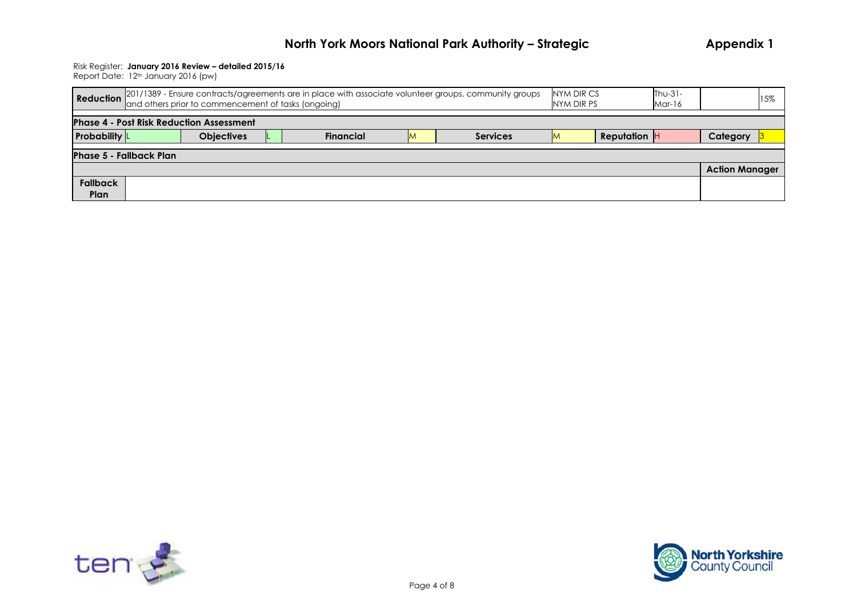#### Risk Register: **January 2016 Review – detailed 2015/16**

| Reduction 201/1389 - Ensure contracts/agreements are in place with associate volunteer groups, community groups<br>Reduction and others prior to commencement of tasks (ongoing)<br>NYM DIR CS<br>Thu-31-<br>NYM DIR PS<br>Mar-16 |  |  |  |  |  |  |  |  |                                   |  |  |
|-----------------------------------------------------------------------------------------------------------------------------------------------------------------------------------------------------------------------------------|--|--|--|--|--|--|--|--|-----------------------------------|--|--|
| <b>Phase 4 - Post Risk Reduction Assessment</b>                                                                                                                                                                                   |  |  |  |  |  |  |  |  |                                   |  |  |
| <b>Probability</b><br><b>Objectives</b><br><b>Reputation</b> H<br><b>Financial</b><br><b>Services</b><br>IM.                                                                                                                      |  |  |  |  |  |  |  |  |                                   |  |  |
|                                                                                                                                                                                                                                   |  |  |  |  |  |  |  |  |                                   |  |  |
|                                                                                                                                                                                                                                   |  |  |  |  |  |  |  |  |                                   |  |  |
| <b>Fallback</b><br>Plan                                                                                                                                                                                                           |  |  |  |  |  |  |  |  |                                   |  |  |
|                                                                                                                                                                                                                                   |  |  |  |  |  |  |  |  | Category<br><b>Action Manager</b> |  |  |



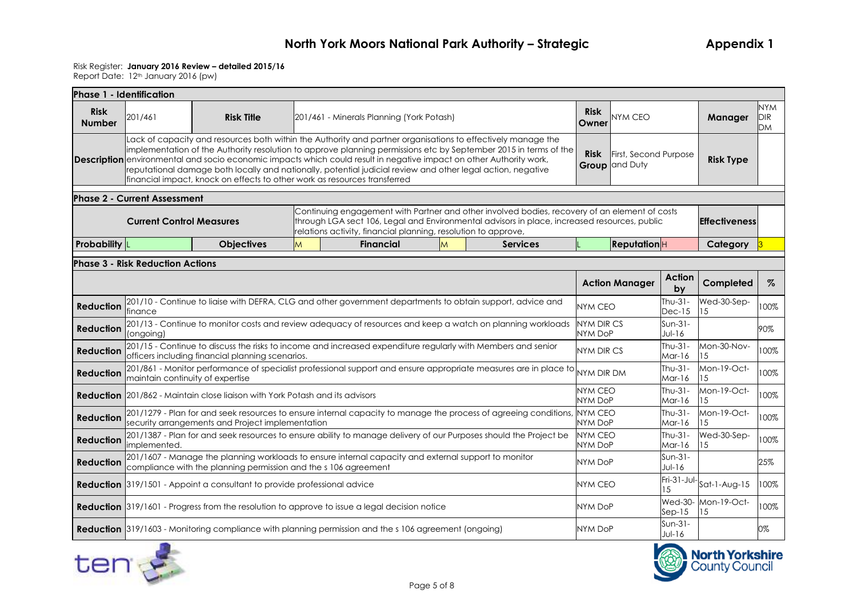#### Risk Register: **January 2016 Review – detailed 2015/16**

| Phase 1 - Identification     |                                                                                                                                                                         |                                                                                                      |                 |                                                                                                                                                                                                                                                                                                                                                                                                                                                                               |                     |                      |                                     |                                                |                       |                   |                           |
|------------------------------|-------------------------------------------------------------------------------------------------------------------------------------------------------------------------|------------------------------------------------------------------------------------------------------|-----------------|-------------------------------------------------------------------------------------------------------------------------------------------------------------------------------------------------------------------------------------------------------------------------------------------------------------------------------------------------------------------------------------------------------------------------------------------------------------------------------|---------------------|----------------------|-------------------------------------|------------------------------------------------|-----------------------|-------------------|---------------------------|
| <b>Risk</b><br><b>Number</b> | 201/461                                                                                                                                                                 | <b>Risk Title</b>                                                                                    |                 | 201/461 - Minerals Planning (York Potash)                                                                                                                                                                                                                                                                                                                                                                                                                                     |                     |                      | <b>Risk</b><br>Owner                | NYM CEO                                        |                       | Manager           | NYM.<br><b>DIR</b><br>DM. |
|                              |                                                                                                                                                                         | financial impact, knock on effects to other work as resources transferred                            |                 | Lack of capacity and resources both within the Authority and partner organisations to effectively manage the<br>implementation of the Authority resolution to approve planning permissions etc by September 2015 in terms of the<br><b>Description</b> environmental and socio economic impacts which could result in negative impact on other Authority work,<br>reputational damage both locally and nationally, potential judicial review and other legal action, negative |                     |                      | <b>Risk</b>                         | First, Second Purpose<br><b>Group</b> and Duty |                       | <b>Risk Type</b>  |                           |
|                              | <b>Phase 2 - Current Assessment</b>                                                                                                                                     |                                                                                                      |                 |                                                                                                                                                                                                                                                                                                                                                                                                                                                                               |                     |                      |                                     |                                                |                       |                   |                           |
|                              | <b>Current Control Measures</b>                                                                                                                                         |                                                                                                      |                 | Continuing engagement with Partner and other involved bodies, recovery of an element of costs<br>through LGA sect 106, Legal and Environmental advisors in place, increased resources, public                                                                                                                                                                                                                                                                                 |                     | <b>Effectiveness</b> |                                     |                                                |                       |                   |                           |
| <b>Probability</b>           |                                                                                                                                                                         | <b>Objectives</b>                                                                                    | <b>Services</b> |                                                                                                                                                                                                                                                                                                                                                                                                                                                                               | <b>Reputation</b> H |                      | Category 3                          |                                                |                       |                   |                           |
|                              | <b>Phase 3 - Risk Reduction Actions</b>                                                                                                                                 |                                                                                                      |                 |                                                                                                                                                                                                                                                                                                                                                                                                                                                                               |                     |                      |                                     |                                                |                       |                   |                           |
|                              |                                                                                                                                                                         |                                                                                                      |                 |                                                                                                                                                                                                                                                                                                                                                                                                                                                                               |                     |                      |                                     | <b>Action Manager</b>                          | <b>Action</b><br>by   | Completed         | $\%$                      |
| <b>Reduction</b>             | finance                                                                                                                                                                 |                                                                                                      |                 | 201/10 - Continue to liaise with DEFRA, CLG and other government departments to obtain support, advice and                                                                                                                                                                                                                                                                                                                                                                    |                     |                      | <b>NYM CEO</b>                      |                                                | Thu-31-<br>$Dec-15$   | Wed-30-Sep-<br>15 | 100%                      |
| <b>Reduction</b>             | (ongoing)                                                                                                                                                               |                                                                                                      |                 | 201/13 - Continue to monitor costs and review adequacy of resources and keep a watch on planning workloads                                                                                                                                                                                                                                                                                                                                                                    |                     |                      | <b>NYM DIR CS</b><br><b>NYM DoP</b> |                                                | Sun-31-<br>$Jul-16$   |                   | 90%                       |
| <b>Reduction</b>             |                                                                                                                                                                         | officers including financial planning scenarios.                                                     |                 | 201/15 - Continue to discuss the risks to income and increased expenditure regularly with Members and senior                                                                                                                                                                                                                                                                                                                                                                  |                     |                      | <b>NYM DIR CS</b>                   |                                                | $Thu-31-$<br>Mar-16   | Mon-30-Nov-<br>15 | 100%                      |
| <b>Reduction</b>             | maintain continuity of expertise                                                                                                                                        |                                                                                                      |                 | 201/861 - Monitor performance of specialist professional support and ensure appropriate measures are in place to                                                                                                                                                                                                                                                                                                                                                              |                     |                      | NYM DIR DM                          |                                                | $Thu-31-$<br>Mar-16   | Mon-19-Oct-<br>15 | 100%                      |
|                              |                                                                                                                                                                         | <b>Reduction</b> 201/862 - Maintain close liaison with York Potash and its advisors                  |                 |                                                                                                                                                                                                                                                                                                                                                                                                                                                                               |                     |                      | <b>NYM CEO</b><br><b>NYM DoP</b>    |                                                | $Thu-31-$<br>Mar-16   | Mon-19-Oct-<br>15 | 100%                      |
| <b>Reduction</b>             |                                                                                                                                                                         | security arrangements and Project implementation                                                     |                 | 201/1279 - Plan for and seek resources to ensure internal capacity to manage the process of agreeing conditions, NYM CEO                                                                                                                                                                                                                                                                                                                                                      |                     |                      | NYM DoP                             |                                                | $Thu-31-$<br>Mar-16   | Mon-19-Oct-<br>15 | 100%                      |
| <b>Reduction</b>             | limplemented.                                                                                                                                                           |                                                                                                      |                 | 201/1387 - Plan for and seek resources to ensure ability to manage delivery of our Purposes should the Project be                                                                                                                                                                                                                                                                                                                                                             |                     |                      | NYM CEO<br><b>NYM DoP</b>           |                                                | $Thu-31-$<br>Mar-16   | Wed-30-Sep-<br>15 | 100%                      |
| <b>Reduction</b>             | 201/1607 - Manage the planning workloads to ensure internal capacity and external support to monitor<br>compliance with the planning permission and the s 106 agreement |                                                                                                      |                 |                                                                                                                                                                                                                                                                                                                                                                                                                                                                               |                     |                      |                                     |                                                | Sun-31-<br>$Jul-16$   |                   | 25%                       |
|                              |                                                                                                                                                                         | <b>Reduction</b> 319/1501 - Appoint a consultant to provide professional advice                      |                 |                                                                                                                                                                                                                                                                                                                                                                                                                                                                               |                     |                      | <b>NYM CEO</b>                      |                                                | Fri-31-Jul-<br>1.5    | $Sat-1-Aug-15$    | 100%                      |
|                              |                                                                                                                                                                         | <b>Reduction</b> 319/1601 - Progress from the resolution to approve to issue a legal decision notice |                 | <b>NYM DoP</b>                                                                                                                                                                                                                                                                                                                                                                                                                                                                |                     | $Sep-15$             | Wed-30- Mon-19-Oct-<br>15           | 100%                                           |                       |                   |                           |
|                              |                                                                                                                                                                         |                                                                                                      |                 | <b>Reduction</b> 319/1603 - Monitoring compliance with planning permission and the s 106 agreement (ongoing)                                                                                                                                                                                                                                                                                                                                                                  |                     |                      | NYM DoP                             |                                                | $Sun-31-$<br>$Jul-16$ |                   | 0%                        |



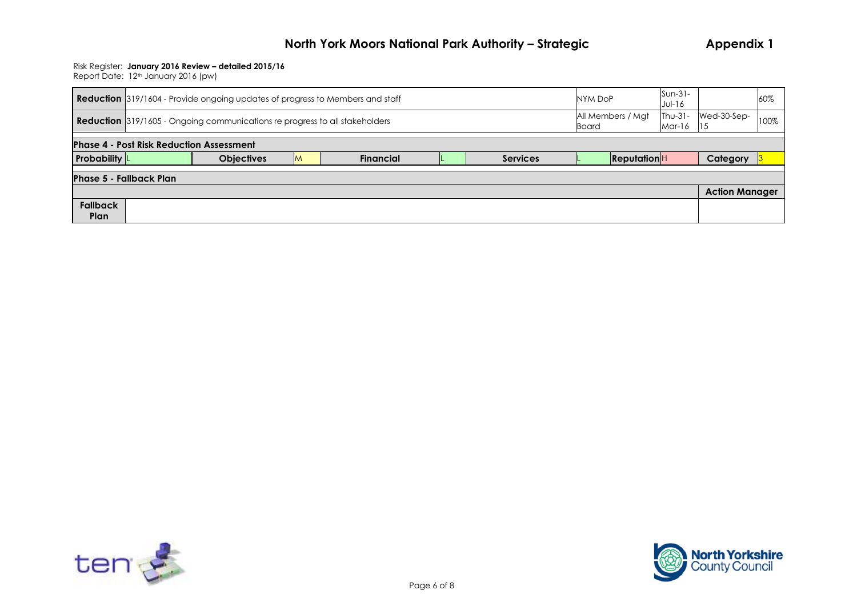#### Risk Register: **January 2016 Review – detailed 2015/16**

|                                                 | $Sun-31-$<br><b>Reduction</b> 319/1604 - Provide ongoing updates of progress to Members and staff<br>NYM DoP<br>$Jul-16$                                               |  |  |  |  |  |  |  |  |                       |  |  |
|-------------------------------------------------|------------------------------------------------------------------------------------------------------------------------------------------------------------------------|--|--|--|--|--|--|--|--|-----------------------|--|--|
|                                                 | All Members / Mgt<br>$Thu-31-$<br>Wed-30-Sep-<br><b>Reduction</b> 319/1605 - Ongoing communications re progress to all stakeholders<br><b>Board</b><br>Mar-16<br>- 115 |  |  |  |  |  |  |  |  |                       |  |  |
| <b>Phase 4 - Post Risk Reduction Assessment</b> |                                                                                                                                                                        |  |  |  |  |  |  |  |  |                       |  |  |
| <b>Probability</b>                              | ReputationH<br><b>Objectives</b><br>Category<br><b>Financial</b><br><b>Services</b><br>M                                                                               |  |  |  |  |  |  |  |  |                       |  |  |
| <b>Phase 5 - Fallback Plan</b>                  |                                                                                                                                                                        |  |  |  |  |  |  |  |  |                       |  |  |
|                                                 |                                                                                                                                                                        |  |  |  |  |  |  |  |  | <b>Action Manager</b> |  |  |
| <b>Fallback</b>                                 |                                                                                                                                                                        |  |  |  |  |  |  |  |  |                       |  |  |
| Plan                                            |                                                                                                                                                                        |  |  |  |  |  |  |  |  |                       |  |  |



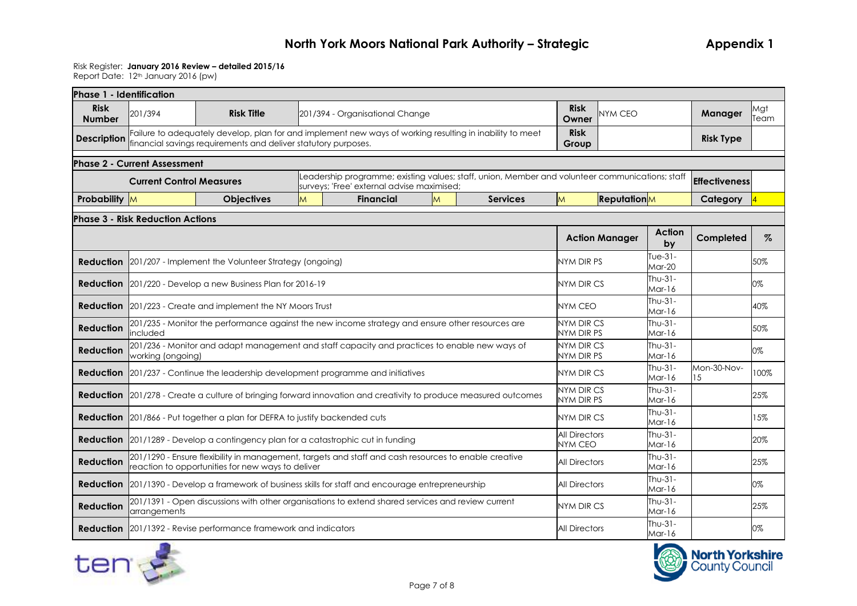### Risk Register: **January 2016 Review – detailed 2015/16**

| <b>Phase 1 - Identification</b> |                                                                                                                                                           |                                                                                                                                                                            |                      |                                                                                                                                               |                     |                      |                     |                                        |                       |                        |                      |             |
|---------------------------------|-----------------------------------------------------------------------------------------------------------------------------------------------------------|----------------------------------------------------------------------------------------------------------------------------------------------------------------------------|----------------------|-----------------------------------------------------------------------------------------------------------------------------------------------|---------------------|----------------------|---------------------|----------------------------------------|-----------------------|------------------------|----------------------|-------------|
| <b>Risk</b><br><b>Number</b>    | 201/394                                                                                                                                                   | <b>Risk Title</b>                                                                                                                                                          |                      | 201/394 - Organisational Change                                                                                                               |                     |                      |                     | <b>Risk</b><br>Owner                   | NYM CEO               |                        | Manager              | Mgt<br>Team |
| <b>Description</b>              |                                                                                                                                                           | Failure to adequately develop, plan for and implement new ways of working resulting in inability to meet<br>financial savings requirements and deliver statutory purposes. |                      |                                                                                                                                               |                     |                      |                     | <b>Risk</b><br>Group                   |                       |                        | <b>Risk Type</b>     |             |
|                                 | <b>Phase 2 - Current Assessment</b>                                                                                                                       |                                                                                                                                                                            |                      |                                                                                                                                               |                     |                      |                     |                                        |                       |                        |                      |             |
|                                 | <b>Current Control Measures</b>                                                                                                                           |                                                                                                                                                                            |                      | Leadership programme; existing values; staff, union, Member and volunteer communications; staff<br>surveys; 'Free' external advise maximised; |                     |                      |                     |                                        |                       |                        | <b>Effectiveness</b> |             |
| Probability M                   |                                                                                                                                                           | <b>Objectives</b>                                                                                                                                                          | M                    | <b>Financial</b>                                                                                                                              | M                   |                      | <b>Services</b>     | M                                      | <b>Reputation</b> M   |                        | Category             |             |
|                                 | <b>Phase 3 - Risk Reduction Actions</b>                                                                                                                   |                                                                                                                                                                            |                      |                                                                                                                                               |                     |                      |                     |                                        |                       |                        |                      |             |
|                                 |                                                                                                                                                           |                                                                                                                                                                            |                      |                                                                                                                                               |                     |                      |                     |                                        | <b>Action Manager</b> | <b>Action</b><br>by    | Completed            | $\%$        |
|                                 |                                                                                                                                                           | <b>Reduction</b> 201/207 - Implement the Volunteer Strategy (ongoing)                                                                                                      |                      |                                                                                                                                               |                     |                      |                     | NYM DIR PS                             |                       | Tue- $31-$<br>$Mar-20$ |                      | 50%         |
|                                 |                                                                                                                                                           | <b>Reduction</b> 201/220 - Develop a new Business Plan for 2016-19                                                                                                         |                      |                                                                                                                                               | <b>NYM DIR CS</b>   |                      | Thu-31-<br>$Mar-16$ |                                        | 0%                    |                        |                      |             |
|                                 |                                                                                                                                                           | <b>Reduction</b> 201/223 - Create and implement the NY Moors Trust                                                                                                         |                      |                                                                                                                                               |                     |                      |                     | <b>NYM CEO</b>                         |                       | Thu- $31-$<br>Mar-16   |                      | 40%         |
| <b>Reduction</b>                | included                                                                                                                                                  | 201/235 - Monitor the performance against the new income strategy and ensure other resources are                                                                           |                      |                                                                                                                                               |                     |                      |                     | <b>NYM DIR CS</b><br>NYM DIR PS        |                       | Thu-31-<br>Mar-16      |                      | 50%         |
| <b>Reduction</b>                | working (ongoing)                                                                                                                                         | 201/236 - Monitor and adapt management and staff capacity and practices to enable new ways of                                                                              |                      |                                                                                                                                               |                     |                      |                     | <b>NYM DIR CS</b><br>NYM DIR PS        |                       | $Thu-31-$<br>Mar-16    |                      | 0%          |
|                                 |                                                                                                                                                           | <b>Reduction</b> 201/237 - Continue the leadership development programme and initiatives                                                                                   |                      |                                                                                                                                               |                     |                      |                     | NYM DIR CS                             |                       | $Thu-31-$<br>Mar-16    | Mon-30-Nov-<br>15    | 100%        |
|                                 |                                                                                                                                                           | <b>Reduction</b> 201/278 - Create a culture of bringing forward innovation and creativity to produce measured outcomes                                                     |                      |                                                                                                                                               |                     |                      |                     | <b>NYM DIR CS</b><br>NYM DIR PS        |                       | $Thu-31-$<br>Mar-16    |                      | 25%         |
|                                 |                                                                                                                                                           | <b>Reduction</b> 201/866 - Put together a plan for DEFRA to justify backended cuts                                                                                         |                      |                                                                                                                                               |                     |                      |                     | NYM DIR CS                             |                       | $Thu-31-$<br>Mar-16    |                      | 15%         |
|                                 |                                                                                                                                                           | <b>Reduction</b> 201/1289 - Develop a contingency plan for a catastrophic cut in funding                                                                                   |                      |                                                                                                                                               |                     |                      |                     | <b>All Directors</b><br><b>NYM CEO</b> |                       | Thu-31-<br>Mar-16      |                      | 20%         |
| <b>Reduction</b>                | 201/1290 - Ensure flexibility in management, targets and staff and cash resources to enable creative<br>reaction to opportunities for new ways to deliver |                                                                                                                                                                            | <b>All Directors</b> |                                                                                                                                               | $Thu-31-$<br>Mar-16 |                      | 25%                 |                                        |                       |                        |                      |             |
|                                 |                                                                                                                                                           | <b>Reduction</b> 201/1390 - Develop a framework of business skills for staff and encourage entrepreneurship                                                                |                      |                                                                                                                                               |                     |                      |                     | <b>All Directors</b>                   |                       | Thu-31-<br>$Mar-16$    |                      | 0%          |
| <b>Reduction</b>                | arrangements                                                                                                                                              | 201/1391 - Open discussions with other organisations to extend shared services and review current                                                                          |                      | NYM DIR CS                                                                                                                                    |                     | $Thu-31-$<br>Mar-16  |                     | 25%                                    |                       |                        |                      |             |
|                                 |                                                                                                                                                           | <b>Reduction</b> 201/1392 - Revise performance framework and indicators                                                                                                    |                      |                                                                                                                                               |                     | <b>All Directors</b> |                     | Thu-31-<br>Mar-16                      |                       | 0%                     |                      |             |



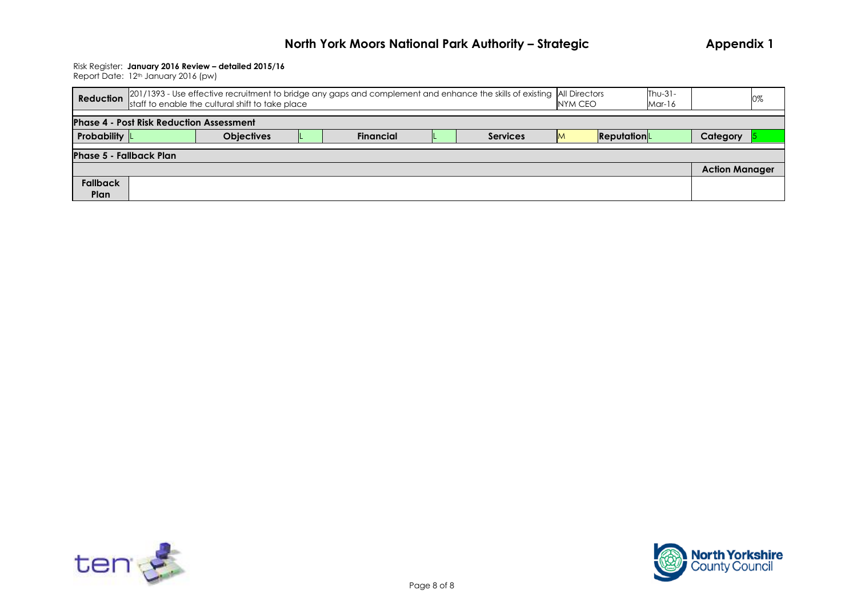#### Risk Register: **January 2016 Review – detailed 2015/16**

| Reduction                      | 201/1393 - Use effective recruitment to bridge any gaps and complement and enhance the skills of existing  All Directors<br>staff to enable the cultural shift to take place |  |  |  |  |  |  |  | NYM CEO | $Thu-31-$<br>Mar-16 |                       | 0% |  |
|--------------------------------|------------------------------------------------------------------------------------------------------------------------------------------------------------------------------|--|--|--|--|--|--|--|---------|---------------------|-----------------------|----|--|
|                                | <b>Phase 4 - Post Risk Reduction Assessment</b>                                                                                                                              |  |  |  |  |  |  |  |         |                     |                       |    |  |
| Probability $ L $              | ReputationL<br><b>Financial</b><br><b>Objectives</b><br><b>Services</b><br>Category                                                                                          |  |  |  |  |  |  |  |         |                     |                       |    |  |
| <b>Phase 5 - Fallback Plan</b> |                                                                                                                                                                              |  |  |  |  |  |  |  |         |                     |                       |    |  |
|                                |                                                                                                                                                                              |  |  |  |  |  |  |  |         |                     | <b>Action Manager</b> |    |  |
| <b>Fallback</b><br>Plan        |                                                                                                                                                                              |  |  |  |  |  |  |  |         |                     |                       |    |  |



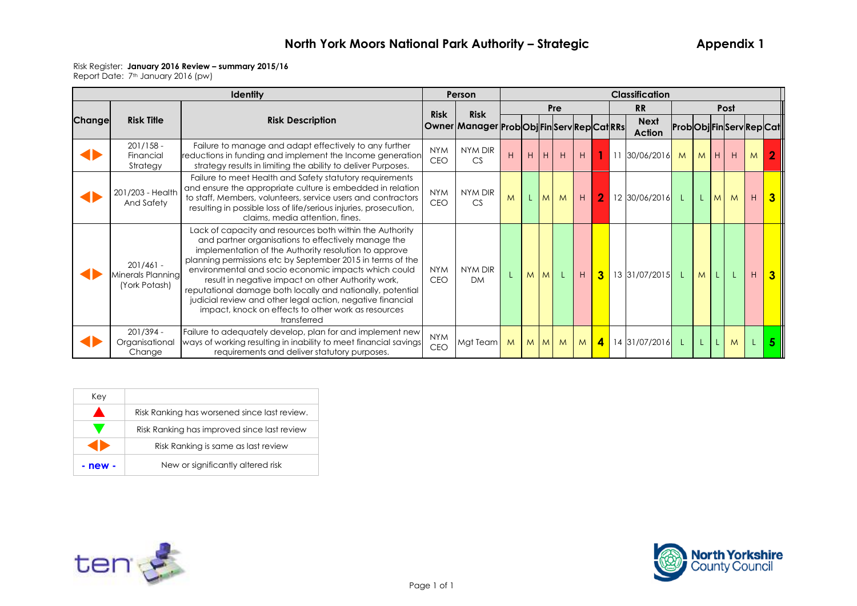#### Risk Register: **January 2016 Review – summary 2015/16**

|        |                                                   | <b>Identity</b>                                                                                                                                                                                                                                                                                                                                                                                                                                                                                                                                        | Person                   |                                             |   |    |         |     |                |                |    | <b>Classification</b>        |                      |    |     |      |   |                |
|--------|---------------------------------------------------|--------------------------------------------------------------------------------------------------------------------------------------------------------------------------------------------------------------------------------------------------------------------------------------------------------------------------------------------------------------------------------------------------------------------------------------------------------------------------------------------------------------------------------------------------------|--------------------------|---------------------------------------------|---|----|---------|-----|----------------|----------------|----|------------------------------|----------------------|----|-----|------|---|----------------|
|        |                                                   |                                                                                                                                                                                                                                                                                                                                                                                                                                                                                                                                                        | <b>Risk</b>              | <b>Risk</b>                                 |   |    |         | Pre |                |                |    | <b>RR</b>                    |                      |    |     | Post |   |                |
| Change | <b>Risk Title</b>                                 | <b>Risk Description</b>                                                                                                                                                                                                                                                                                                                                                                                                                                                                                                                                |                          | Owner Manager Prob Obj Fin Serv Rep Cat RRs |   |    |         |     |                |                |    | <b>Next</b><br><b>Action</b> | ProbObjFinServRepCat |    |     |      |   |                |
|        | $201/158 -$<br>Financial<br>Strategy              | Failure to manage and adapt effectively to any further<br>reductions in funding and implement the Income generation<br>strategy results in limiting the ability to deliver Purposes.                                                                                                                                                                                                                                                                                                                                                                   | <b>NYM</b><br><b>CEO</b> | NYM DIR<br>CS                               | H | H  | H       | H   | H              | 1              | 11 | 30/06/2016                   | M                    |    | MHH |      | M |                |
|        | 201/203 - Health<br>And Safety                    | Failure to meet Health and Safety statutory requirements<br>and ensure the appropriate culture is embedded in relation<br>to staff, Members, volunteers, service users and contractors<br>resulting in possible loss of life/serious injuries, prosecution,<br>claims, media attention, fines.                                                                                                                                                                                                                                                         | <b>NYM</b><br><b>CEO</b> | NYM DIR<br>CS                               | M | L. | M       | M   | H              | $\overline{2}$ |    | 12 30/06/2016                | L                    | L. | M   | M    | H |                |
|        | $201/461 -$<br>Minerals Planning<br>(York Potash) | Lack of capacity and resources both within the Authority<br>and partner organisations to effectively manage the<br>implementation of the Authority resolution to approve<br>planning permissions etc by September 2015 in terms of the<br>environmental and socio economic impacts which could<br>result in negative impact on other Authority work,<br>reputational damage both locally and nationally, potential<br>judicial review and other legal action, negative financial<br>impact, knock on effects to other work as resources<br>transferred | <b>NYM</b><br><b>CEO</b> | NYM DIR<br><b>DM</b>                        |   | M  | M       |     | H              | $\mathbf{3}$   |    | 13 31/07/2015                | $\perp$              | M  |     |      | H |                |
|        | 201/394 -<br>Organisational<br>Change             | Failure to adequately develop, plan for and implement new<br>ways of working resulting in inability to meet financial savings<br>requirements and deliver statutory purposes.                                                                                                                                                                                                                                                                                                                                                                          | <b>NYM</b><br>CEO        | Mgt Team                                    | M |    | $M$ $M$ | M   | M <sub>l</sub> | 4              |    | 14 31/07/2016                | -L.                  |    | L.  | M    |   | 5 <sup>5</sup> |

| Kev     |                                              |
|---------|----------------------------------------------|
|         | Risk Ranking has worsened since last review. |
|         | Risk Ranking has improved since last review  |
|         | Risk Ranking is same as last review          |
| - new - | New or significantly altered risk            |



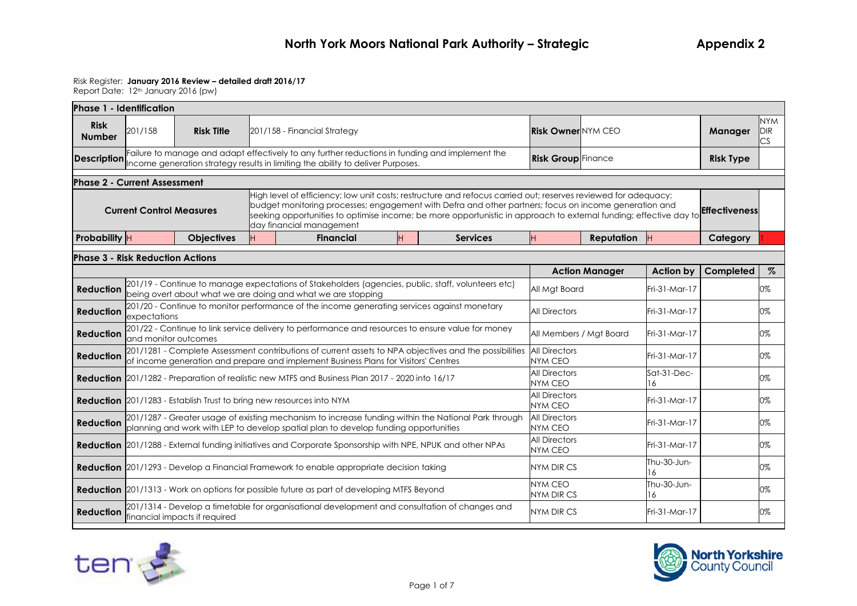| Phase 1 - Identification                |                                                                                                           |                                                                             |  |                                                                                                        |  |   |                                                                                                                                                                                                                                                                                                                                                                   |                                        |                                                   |                  |                  |                                |
|-----------------------------------------|-----------------------------------------------------------------------------------------------------------|-----------------------------------------------------------------------------|--|--------------------------------------------------------------------------------------------------------|--|---|-------------------------------------------------------------------------------------------------------------------------------------------------------------------------------------------------------------------------------------------------------------------------------------------------------------------------------------------------------------------|----------------------------------------|---------------------------------------------------|------------------|------------------|--------------------------------|
| <b>Risk</b><br><b>Number</b>            | 201/158                                                                                                   | <b>Risk Title</b>                                                           |  | 201/158 - Financial Strategy                                                                           |  |   |                                                                                                                                                                                                                                                                                                                                                                   | <b>Risk Owner NYM CEO</b>              |                                                   |                  | Manager          | <b>NYM</b><br><b>DIR</b><br>CS |
| <b>Description</b>                      |                                                                                                           |                                                                             |  | Income generation strategy results in limiting the ability to deliver Purposes.                        |  |   | Failure to manage and adapt effectively to any further reductions in funding and implement the                                                                                                                                                                                                                                                                    | <b>Risk Group</b> Finance              |                                                   |                  | <b>Risk Type</b> |                                |
| <b>Phase 2 - Current Assessment</b>     |                                                                                                           |                                                                             |  |                                                                                                        |  |   |                                                                                                                                                                                                                                                                                                                                                                   |                                        |                                                   |                  |                  |                                |
|                                         | <b>Current Control Measures</b>                                                                           |                                                                             |  | day financial management                                                                               |  |   | High level of efficiency; low unit costs; restructure and refocus carried out; reserves reviewed for adequacy;<br>budget monitoring processes; engagement with Defra and other partners; focus on income generation and<br>seeking opportunities to optimise income; be more opportunistic in approach to external funding; effective day to <b>Effectiveness</b> |                                        |                                                   |                  |                  |                                |
| Probability H                           |                                                                                                           | <b>Objectives</b>                                                           |  | <b>Financial</b>                                                                                       |  | H | <b>Services</b>                                                                                                                                                                                                                                                                                                                                                   | lн.                                    | Reputation                                        | <b>IH</b>        | Category         |                                |
| <b>Phase 3 - Risk Reduction Actions</b> |                                                                                                           |                                                                             |  |                                                                                                        |  |   |                                                                                                                                                                                                                                                                                                                                                                   |                                        |                                                   |                  |                  |                                |
|                                         |                                                                                                           |                                                                             |  |                                                                                                        |  |   |                                                                                                                                                                                                                                                                                                                                                                   |                                        | <b>Action Manager</b>                             | Action by        | Completed        | $\%$                           |
| <b>Reduction</b>                        |                                                                                                           |                                                                             |  | being overt about what we are doing and what we are stopping                                           |  |   | 201/19 - Continue to manage expectations of Stakeholders (agencies, public, staff, volunteers etc)                                                                                                                                                                                                                                                                | All Mgt Board                          |                                                   | Fri-31-Mar-17    |                  | 0%                             |
| <b>Reduction</b>                        | expectations                                                                                              |                                                                             |  |                                                                                                        |  |   | 201/20 - Continue to monitor performance of the income generating services against monetary                                                                                                                                                                                                                                                                       | <b>All Directors</b>                   |                                                   | Fri-31-Mar-17    |                  | 0%                             |
| <b>Reduction</b>                        | and monitor outcomes                                                                                      |                                                                             |  |                                                                                                        |  |   | 201/22 - Continue to link service delivery to performance and resources to ensure value for money                                                                                                                                                                                                                                                                 | All Members / Mgt Board                |                                                   | Fri-31-Mar-17    |                  | 0%                             |
| <b>Reduction</b>                        |                                                                                                           |                                                                             |  | of income generation and prepare and implement Business Plans for Visitors' Centres                    |  |   | 201/1281 - Complete Assessment contributions of current assets to NPA objectives and the possibilities                                                                                                                                                                                                                                                            | <b>All Directors</b><br>NYM CEO        |                                                   | Fri-31-Mar-17    |                  | 0%                             |
|                                         |                                                                                                           |                                                                             |  | <b>Reduction</b> 201/1282 - Preparation of realistic new MTFS and Business Plan 2017 - 2020 into 16/17 |  |   |                                                                                                                                                                                                                                                                                                                                                                   | <b>All Directors</b><br><b>NYM CEO</b> |                                                   | Sat-31-Dec-<br>6 |                  | 0%                             |
|                                         |                                                                                                           | <b>Reduction</b> 201/1283 - Establish Trust to bring new resources into NYM |  |                                                                                                        |  |   |                                                                                                                                                                                                                                                                                                                                                                   | <b>All Directors</b><br><b>NYM CEO</b> |                                                   | Fri-31-Mar-17    |                  | 0%                             |
| <b>Reduction</b>                        |                                                                                                           |                                                                             |  | planning and work with LEP to develop spatial plan to develop funding opportunities                    |  |   | 201/1287 - Greater usage of existing mechanism to increase funding within the National Park through                                                                                                                                                                                                                                                               | <b>All Directors</b><br><b>NYM CEO</b> |                                                   | Fri-31-Mar-17    |                  | 0%                             |
|                                         | Reduction 201/1288 - External funding initiatives and Corporate Sponsorship with NPE, NPUK and other NPAs |                                                                             |  |                                                                                                        |  |   |                                                                                                                                                                                                                                                                                                                                                                   |                                        |                                                   | Fri-31-Mar-17    |                  | 0%                             |
|                                         | <b>Reduction</b> 201/1293 - Develop a Financial Framework to enable appropriate decision taking           |                                                                             |  |                                                                                                        |  |   |                                                                                                                                                                                                                                                                                                                                                                   |                                        |                                                   | Thu-30-Jun-<br>6 |                  | 0%                             |
|                                         | <b>Reduction</b> 201/1313 - Work on options for possible future as part of developing MTFS Beyond         |                                                                             |  |                                                                                                        |  |   |                                                                                                                                                                                                                                                                                                                                                                   |                                        | <b>NYM CEO</b><br>Thu-30-Jun-<br>NYM DIR CS<br>16 |                  |                  |                                |
| <b>Reduction</b>                        |                                                                                                           | financial impacts if required                                               |  |                                                                                                        |  |   | 201/1314 - Develop a timetable for organisational development and consultation of changes and                                                                                                                                                                                                                                                                     | NYM DIR CS                             |                                                   | Fri-31-Mar-17    |                  | 0%                             |



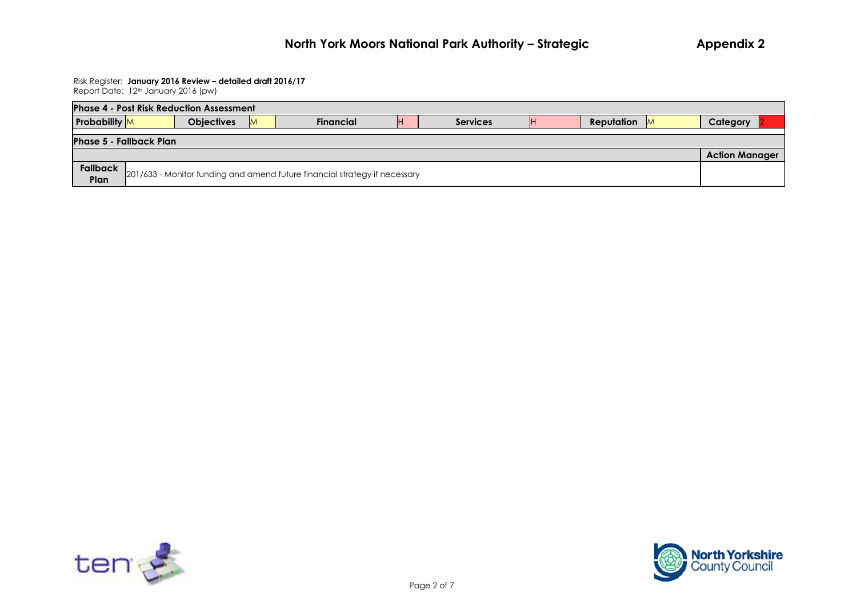| <b>Phase 4 - Post Risk Reduction Assessment</b>         |  |                   |  |                                                                            |    |                 |  |            |           |          |  |
|---------------------------------------------------------|--|-------------------|--|----------------------------------------------------------------------------|----|-----------------|--|------------|-----------|----------|--|
| <b>Probability</b> M                                    |  | <b>Objectives</b> |  | <b>Financial</b>                                                           | IH | <b>Services</b> |  | Reputation | <b>IM</b> | Category |  |
| <b>Phase 5 - Fallback Plan</b><br><b>Action Manager</b> |  |                   |  |                                                                            |    |                 |  |            |           |          |  |
| Fallback<br>Plan                                        |  |                   |  | 201/633 - Monitor funding and amend future financial strategy if necessary |    |                 |  |            |           |          |  |



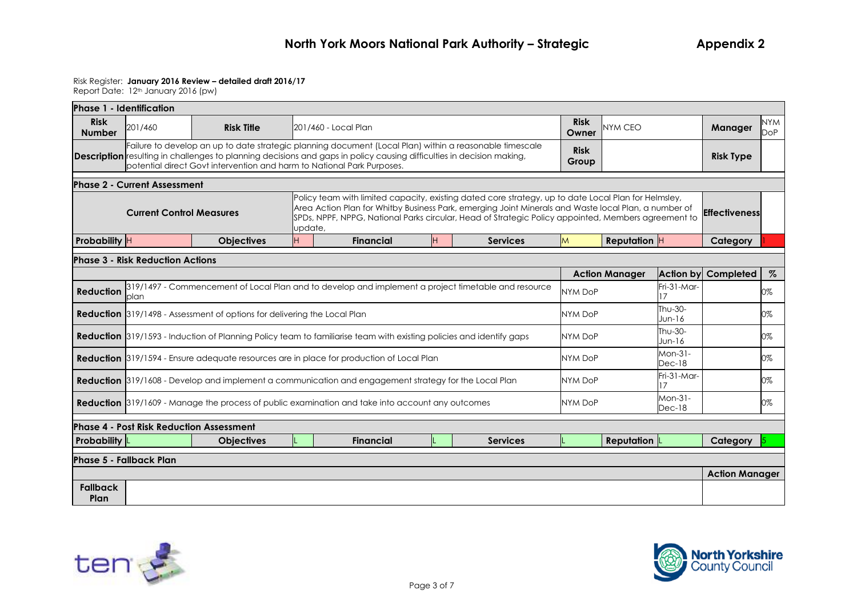| Phase 1 - Identification                                                                                                                                                                                                                                                                                                                                                                   |                                         |                                                                          |  |                                                                                                                                                                                                                                         |                 |                      |                       |                     |                       |                          |
|--------------------------------------------------------------------------------------------------------------------------------------------------------------------------------------------------------------------------------------------------------------------------------------------------------------------------------------------------------------------------------------------|-----------------------------------------|--------------------------------------------------------------------------|--|-----------------------------------------------------------------------------------------------------------------------------------------------------------------------------------------------------------------------------------------|-----------------|----------------------|-----------------------|---------------------|-----------------------|--------------------------|
| <b>Risk</b><br><b>Number</b>                                                                                                                                                                                                                                                                                                                                                               | 201/460                                 | <b>Risk Title</b>                                                        |  | <b>201/460 - Local Plan</b>                                                                                                                                                                                                             |                 | <b>Risk</b><br>Owner | NYM CEO               |                     | Manager               | <b>NYM</b><br><b>DoP</b> |
|                                                                                                                                                                                                                                                                                                                                                                                            |                                         | potential direct Govt intervention and harm to National Park Purposes.   |  | Failure to develop an up to date strategic planning document (Local Plan) within a reasonable timescale<br><b>Description</b> resulting in challenges to planning decisions and gaps in policy causing difficulties in decision making, |                 | <b>Risk</b><br>Group |                       |                     | <b>Risk Type</b>      |                          |
|                                                                                                                                                                                                                                                                                                                                                                                            | <b>Phase 2 - Current Assessment</b>     |                                                                          |  |                                                                                                                                                                                                                                         |                 |                      |                       |                     |                       |                          |
| Policy team with limited capacity, existing dated core strategy, up to date Local Plan for Helmsley,<br>Area Action Plan for Whitby Business Park, emerging Joint Minerals and Waste local Plan, a number of<br><b>Current Control Measures</b><br><b>Effectiveness</b><br>SPDs, NPPF, NPPG, National Parks circular, Head of Strategic Policy appointed, Members agreement to<br>lupdate, |                                         |                                                                          |  |                                                                                                                                                                                                                                         |                 |                      |                       |                     |                       |                          |
| Probability H                                                                                                                                                                                                                                                                                                                                                                              |                                         | <b>Objectives</b>                                                        |  | <b>Financial</b><br>H                                                                                                                                                                                                                   | <b>Services</b> | M                    | <b>Reputation</b> $H$ |                     | Category              |                          |
|                                                                                                                                                                                                                                                                                                                                                                                            | <b>Phase 3 - Risk Reduction Actions</b> |                                                                          |  |                                                                                                                                                                                                                                         |                 |                      |                       |                     |                       |                          |
|                                                                                                                                                                                                                                                                                                                                                                                            |                                         |                                                                          |  |                                                                                                                                                                                                                                         |                 |                      | <b>Action Manager</b> | <b>Action by</b>    | Completed             | $\%$                     |
| <b>Reduction</b>                                                                                                                                                                                                                                                                                                                                                                           | plan                                    |                                                                          |  | 319/1497 - Commencement of Local Plan and to develop and implement a project timetable and resource                                                                                                                                     |                 | NYM DoP              |                       | Fri-31-Mar-<br>17   |                       | 0%                       |
|                                                                                                                                                                                                                                                                                                                                                                                            |                                         | Reduction 319/1498 - Assessment of options for delivering the Local Plan |  |                                                                                                                                                                                                                                         |                 | <b>NYM DoP</b>       |                       | Thu-30-<br>$Jun-16$ |                       | 0%                       |
|                                                                                                                                                                                                                                                                                                                                                                                            |                                         |                                                                          |  | <b>Reduction</b> 319/1593 - Induction of Planning Policy team to familiarise team with existing policies and identify gaps                                                                                                              |                 | NYM DoP              |                       | Thu-30-<br>$Jun-16$ |                       | 0%                       |
|                                                                                                                                                                                                                                                                                                                                                                                            |                                         |                                                                          |  | <b>Reduction</b> 319/1594 - Ensure adequate resources are in place for production of Local Plan                                                                                                                                         |                 | <b>NYM DoP</b>       |                       | Mon-31-<br>$Dec-18$ |                       | 0%                       |
|                                                                                                                                                                                                                                                                                                                                                                                            |                                         |                                                                          |  | Reduction 319/1608 - Develop and implement a communication and engagement strategy for the Local Plan                                                                                                                                   |                 | <b>NYM DoP</b>       |                       | Fri-31-Mar-<br>17   |                       | 0%                       |
|                                                                                                                                                                                                                                                                                                                                                                                            |                                         |                                                                          |  | <b>Reduction</b> 319/1609 - Manage the process of public examination and take into account any outcomes                                                                                                                                 |                 | <b>NYM DoP</b>       |                       | Mon-31-<br>$Dec-18$ |                       | 0%                       |
|                                                                                                                                                                                                                                                                                                                                                                                            |                                         | <b>Phase 4 - Post Risk Reduction Assessment</b>                          |  |                                                                                                                                                                                                                                         |                 |                      |                       |                     |                       |                          |
| <b>Probability</b>                                                                                                                                                                                                                                                                                                                                                                         |                                         | <b>Objectives</b>                                                        |  | <b>Financial</b>                                                                                                                                                                                                                        | Services        |                      | <b>Reputation</b>     |                     | Category              |                          |
|                                                                                                                                                                                                                                                                                                                                                                                            | Phase 5 - Fallback Plan                 |                                                                          |  |                                                                                                                                                                                                                                         |                 |                      |                       |                     |                       |                          |
|                                                                                                                                                                                                                                                                                                                                                                                            |                                         |                                                                          |  |                                                                                                                                                                                                                                         |                 |                      |                       |                     | <b>Action Manager</b> |                          |
| <b>Fallback</b><br>Plan                                                                                                                                                                                                                                                                                                                                                                    |                                         |                                                                          |  |                                                                                                                                                                                                                                         |                 |                      |                       |                     |                       |                          |



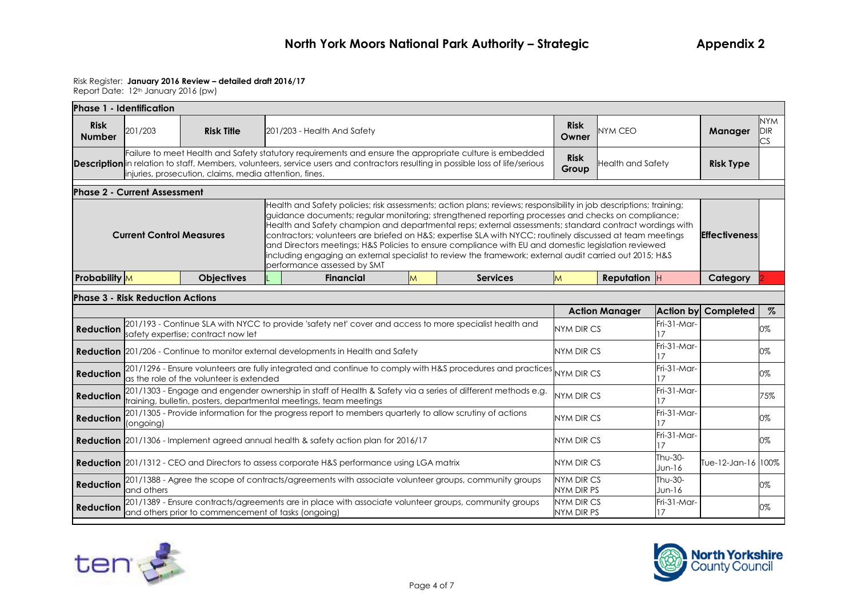|                                                                                                                                                                                                                                                                                                                                                                 | <b>Phase 1 - Identification</b>                                                                                                                                                                                                                                                                                                                                                                                                                                                                                                                                                                                                                                                                                                     |                                                                                            |  |                                                                                                         |   |                 |  |                       |                  |                            |      |
|-----------------------------------------------------------------------------------------------------------------------------------------------------------------------------------------------------------------------------------------------------------------------------------------------------------------------------------------------------------------|-------------------------------------------------------------------------------------------------------------------------------------------------------------------------------------------------------------------------------------------------------------------------------------------------------------------------------------------------------------------------------------------------------------------------------------------------------------------------------------------------------------------------------------------------------------------------------------------------------------------------------------------------------------------------------------------------------------------------------------|--------------------------------------------------------------------------------------------|--|---------------------------------------------------------------------------------------------------------|---|-----------------|--|-----------------------|------------------|----------------------------|------|
| <b>Risk</b><br><b>Number</b>                                                                                                                                                                                                                                                                                                                                    | 201/203                                                                                                                                                                                                                                                                                                                                                                                                                                                                                                                                                                                                                                                                                                                             | <b>Risk</b><br><b>Risk Title</b><br><b>NYM CEO</b><br>201/203 - Health And Safety<br>Owner |  |                                                                                                         |   |                 |  |                       | <b>Manager</b>   | <b>NYM</b><br>DIR<br>NS    |      |
| Failure to meet Health and Safety statutory requirements and ensure the appropriate culture is embedded<br><b>Risk</b><br><b>Description</b> in relation to staff, Members, volunteers, service users and contractors resulting in possible loss of life/serious<br><b>Health and Safety</b><br>Group<br>injuries, prosecution, claims, media attention, fines. |                                                                                                                                                                                                                                                                                                                                                                                                                                                                                                                                                                                                                                                                                                                                     |                                                                                            |  |                                                                                                         |   |                 |  |                       | <b>Risk Type</b> |                            |      |
|                                                                                                                                                                                                                                                                                                                                                                 | <b>Phase 2 - Current Assessment</b>                                                                                                                                                                                                                                                                                                                                                                                                                                                                                                                                                                                                                                                                                                 |                                                                                            |  |                                                                                                         |   |                 |  |                       |                  |                            |      |
|                                                                                                                                                                                                                                                                                                                                                                 | Health and Safety policies; risk assessments; action plans; reviews; responsibility in job descriptions; training;<br>guidance documents; regular monitoring; strengthened reporting processes and checks on compliance;<br>Health and Safety champion and departmental reps; external assessments; standard contract wordings with<br>contractors; volunteers are briefed on H&S expertise SLA with NYCC; routinely discussed at team meetings<br><b>Current Control Measures</b><br>and Directors meetings; H&S Policies to ensure compliance with EU and domestic legislation reviewed<br>including engaging an external specialist to review the framework; external audit carried out 2015; H&S<br>performance assessed by SMT |                                                                                            |  |                                                                                                         |   |                 |  | <b>Effectiveness</b>  |                  |                            |      |
| <b>Probability</b> M                                                                                                                                                                                                                                                                                                                                            |                                                                                                                                                                                                                                                                                                                                                                                                                                                                                                                                                                                                                                                                                                                                     | <b>Objectives</b>                                                                          |  | <b>Financial</b>                                                                                        | M | <b>Services</b> |  | <b>Reputation</b> $H$ |                  | Category                   |      |
|                                                                                                                                                                                                                                                                                                                                                                 | <b>Phase 3 - Risk Reduction Actions</b>                                                                                                                                                                                                                                                                                                                                                                                                                                                                                                                                                                                                                                                                                             |                                                                                            |  |                                                                                                         |   |                 |  |                       |                  |                            |      |
|                                                                                                                                                                                                                                                                                                                                                                 |                                                                                                                                                                                                                                                                                                                                                                                                                                                                                                                                                                                                                                                                                                                                     |                                                                                            |  |                                                                                                         |   |                 |  | <b>Action Manager</b> |                  | <b>Action by Completed</b> | $\%$ |
|                                                                                                                                                                                                                                                                                                                                                                 |                                                                                                                                                                                                                                                                                                                                                                                                                                                                                                                                                                                                                                                                                                                                     |                                                                                            |  | 001/193 - Continue SLA with NYCC to provide 'safety net' cover and access to more specialist health and |   |                 |  |                       | $Fig. 31-Mor-$   |                            |      |

|                  |                                                                                                                                                                                  | <b>ACTION MUNICIPI</b>   |                     | <b>ACTION DY COMPLETED</b> | $\sqrt{\circ}$ |
|------------------|----------------------------------------------------------------------------------------------------------------------------------------------------------------------------------|--------------------------|---------------------|----------------------------|----------------|
| <b>Reduction</b> | 201/193 - Continue SLA with NYCC to provide 'safety net' cover and access to more specialist health and<br>safety expertise; contract now let                                    | NYM DIR CS               | Fri-31-Mar-         |                            | 0%             |
|                  | <b>Reduction</b> 201/206 - Continue to monitor external developments in Health and Safety                                                                                        | NYM DIR CS               | Fri-31-Mar-         |                            | 0%             |
| Reduction        | 201/1296 - Ensure volunteers are fully integrated and continue to comply with H&S procedures and practices NYM DIR CS                                                            |                          | Fri-31-Mar-         |                            | 0%             |
| <b>Reduction</b> | 201/1303 - Engage and engender ownership in staff of Health & Safety via a series of different methods e.g.<br>training, bulletin, posters, departmental meetings, team meetings | NYM DIR CS               | Fri-31-Mar-         |                            | 75%            |
| <b>Reduction</b> | [201/1305 - Provide information for the progress report to members quarterly to allow scrutiny of actions<br>(ongoing)                                                           | NYM DIR CS               | Fri-31-Mar-         |                            | 0%             |
|                  | <b>Reduction</b> 201/1306 - Implement agreed annual health & safety action plan for 2016/17                                                                                      | NYM DIR CS               | Fri-31-Mar-         |                            | 0%             |
|                  | Reduction 201/1312 - CEO and Directors to assess corporate H&S performance using LGA matrix                                                                                      | NYM DIR CS               | Thu-30-<br>$Jun-16$ | Tue-12-Jan-16 100%         |                |
| <b>Reduction</b> | 201/1388 - Agree the scope of contracts/agreements with associate volunteer groups, community groups<br>land others                                                              | NYM DIR CS<br>NYM DIR PS | Thu-30-<br>$Jun-16$ |                            | 0%             |
| <b>Reduction</b> | 201/1389 - Ensure contracts/agreements are in place with associate volunteer groups, community groups<br>and others prior to commencement of tasks (ongoing)                     | NYM DIR CS<br>NYM DIR PS | Fri-31-Mar-         |                            | 0%             |
|                  |                                                                                                                                                                                  |                          |                     |                            |                |



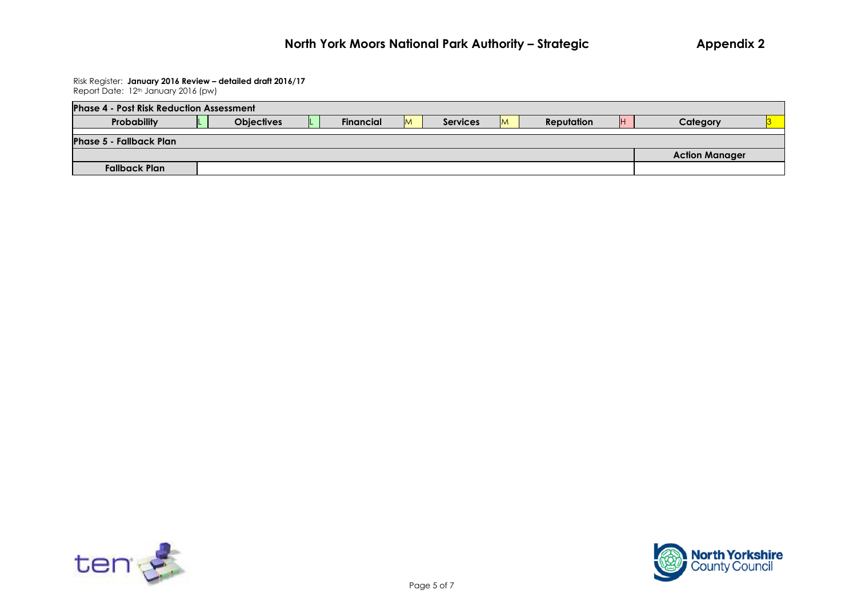#### Risk Register: **January 2016 Review – detailed draft 2016/17** Report Date: 12<sup>th</sup> January 2016 (pw)

| <b>Phase 4 - Post Risk Reduction Assessment</b> |                   |                  |                             |   |                   |                       |  |
|-------------------------------------------------|-------------------|------------------|-----------------------------|---|-------------------|-----------------------|--|
| Probability                                     | <b>Objectives</b> | <b>Financial</b> | <b>Services</b><br><b>M</b> | M | <b>Reputation</b> | Category              |  |
| <b>Phase 5 - Fallback Plan</b>                  |                   |                  |                             |   |                   |                       |  |
|                                                 |                   |                  |                             |   |                   | <b>Action Manager</b> |  |
| <b>Fallback Plan</b>                            |                   |                  |                             |   |                   |                       |  |



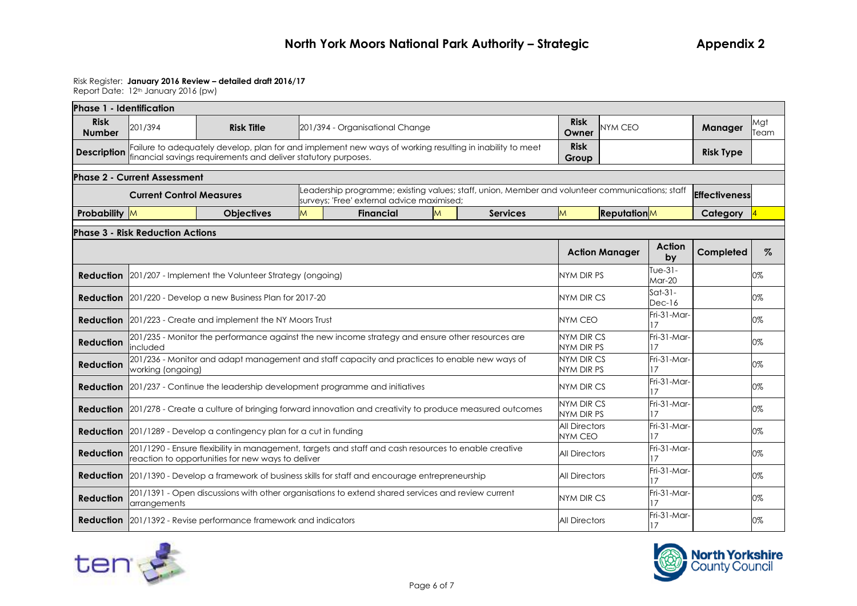| Phase 1 - Identification     |                                         |                                                                                                                                                                            |   |                                                                                                                                               |   |                 |                                        |                       |                        |                      |             |
|------------------------------|-----------------------------------------|----------------------------------------------------------------------------------------------------------------------------------------------------------------------------|---|-----------------------------------------------------------------------------------------------------------------------------------------------|---|-----------------|----------------------------------------|-----------------------|------------------------|----------------------|-------------|
| <b>Risk</b><br><b>Number</b> | 201/394                                 | <b>Risk Title</b>                                                                                                                                                          |   | 201/394 - Organisational Change                                                                                                               |   |                 | <b>Risk</b><br>Owner                   | <b>NYM CEO</b>        |                        | Manager              | Mgt<br>Team |
| <b>Description</b>           |                                         | Failure to adequately develop, plan for and implement new ways of working resulting in inability to meet<br>financial savinas reauirements and deliver statutory purposes. |   |                                                                                                                                               |   |                 | <b>Risk</b><br>Group                   |                       |                        | <b>Risk Type</b>     |             |
|                              | <b>Phase 2 - Current Assessment</b>     |                                                                                                                                                                            |   |                                                                                                                                               |   |                 |                                        |                       |                        |                      |             |
|                              | <b>Current Control Measures</b>         |                                                                                                                                                                            |   | Leadership programme; existing values; staff, union, Member and volunteer communications; staff<br>surveys; 'Free' external advice maximised; |   |                 |                                        |                       |                        | <b>Effectiveness</b> |             |
| Probability M                |                                         | <b>Objectives</b>                                                                                                                                                          | M | <b>Financial</b>                                                                                                                              | M | <b>Services</b> | M                                      | <b>Reputation</b> M   |                        | Category             |             |
|                              | <b>Phase 3 - Risk Reduction Actions</b> |                                                                                                                                                                            |   |                                                                                                                                               |   |                 |                                        |                       |                        |                      |             |
|                              |                                         |                                                                                                                                                                            |   |                                                                                                                                               |   |                 |                                        | <b>Action Manager</b> | <b>Action</b><br>by    | Completed            | $\%$        |
|                              |                                         | <b>Reduction</b> 201/207 - Implement the Volunteer Strategy (ongoing)                                                                                                      |   |                                                                                                                                               |   |                 | NYM DIR PS                             |                       | Tue- $31-$<br>$Mar-20$ |                      | 0%          |
|                              |                                         | <b>Reduction</b> 201/220 - Develop a new Business Plan for 2017-20                                                                                                         |   |                                                                                                                                               |   |                 | <b>NYM DIR CS</b>                      |                       | $Sat-31-$<br>$Dec-16$  |                      | 0%          |
|                              |                                         | <b>Reduction</b> 201/223 - Create and implement the NY Moors Trust                                                                                                         |   |                                                                                                                                               |   |                 | NYM CEO                                |                       | Fri-31-Mar-<br>17      |                      | 0%          |
| <b>Reduction</b>             | included                                | 201/235 - Monitor the performance against the new income strategy and ensure other resources are                                                                           |   |                                                                                                                                               |   |                 | NYM DIR CS<br>NYM DIR PS               |                       | Fri-31-Mar-<br>17      |                      | 0%          |
| <b>Reduction</b>             | working (ongoing)                       | 201/236 - Monitor and adapt management and staff capacity and practices to enable new ways of                                                                              |   |                                                                                                                                               |   |                 | NYM DIR CS<br>NYM DIR PS               |                       | Fri-31-Mar-<br>17      |                      | $0\%$       |
|                              |                                         | <b>Reduction</b> 201/237 - Continue the leadership development programme and initiatives                                                                                   |   |                                                                                                                                               |   |                 | NYM DIR CS                             |                       | Fri-31-Mar-<br>17      |                      | 0%          |
|                              |                                         | <b>Reduction</b> 201/278 - Create a culture of bringing forward innovation and creativity to produce measured outcomes                                                     |   |                                                                                                                                               |   |                 | NYM DIR CS<br>NYM DIR PS               |                       | Fri-31-Mar-<br>17      |                      | 0%          |
|                              |                                         | <b>Reduction</b> 201/1289 - Develop a contingency plan for a cut in funding                                                                                                |   |                                                                                                                                               |   |                 | <b>All Directors</b><br><b>NYM CEO</b> |                       | Fri-31-Mar-<br>17      |                      | 0%          |
| <b>Reduction</b>             |                                         | 201/1290 - Ensure flexibility in management, targets and staff and cash resources to enable creative<br>reaction to opportunities for new ways to deliver                  |   |                                                                                                                                               |   |                 | <b>All Directors</b>                   |                       | Fri-31-Mar-<br>17      |                      | 0%          |
| <b>Reduction</b>             |                                         | 201/1390 - Develop a framework of business skills for staff and encourage entrepreneurship                                                                                 |   |                                                                                                                                               |   |                 | <b>All Directors</b>                   |                       | Fri-31-Mar-<br>17      |                      | 0%          |
| <b>Reduction</b>             | arrangements                            | 201/1391 - Open discussions with other organisations to extend shared services and review current                                                                          |   |                                                                                                                                               |   |                 | NYM DIR CS                             |                       | Fri-31-Mar-<br>17      |                      | 0%          |
|                              |                                         | <b>Reduction</b> 201/1392 - Revise performance framework and indicators                                                                                                    |   |                                                                                                                                               |   |                 | <b>All Directors</b>                   |                       | Fri-31-Mar-<br>17      |                      | 0%          |



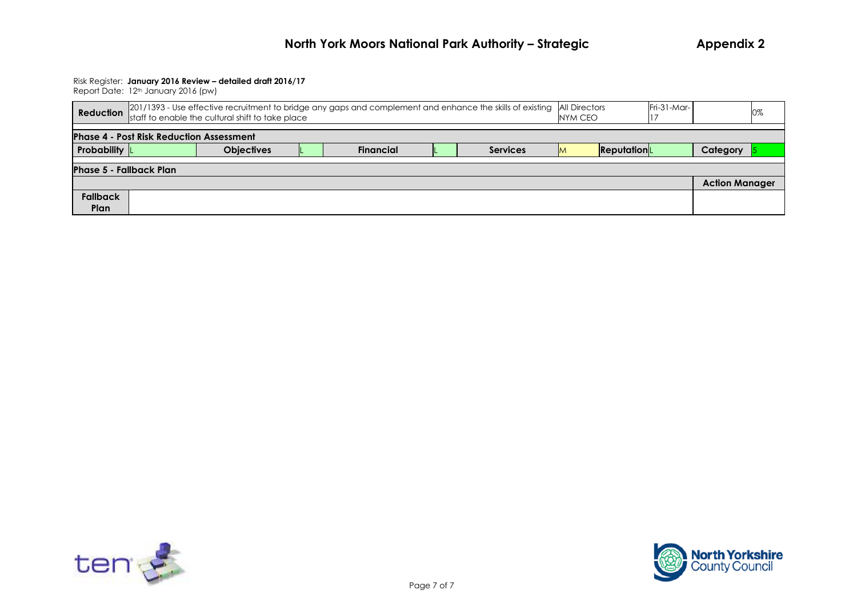|                                | <b>Reduction</b> 201/1393 - Use effective recruitment to bridge any gaps and complement and enhance the skills of existing All Directors<br>NYM CEO |                   |  |                  |                 |    | Fri-31-Mar- |  | 0%                    |  |
|--------------------------------|-----------------------------------------------------------------------------------------------------------------------------------------------------|-------------------|--|------------------|-----------------|----|-------------|--|-----------------------|--|
|                                | <b>Phase 4 - Post Risk Reduction Assessment</b>                                                                                                     |                   |  |                  |                 |    |             |  |                       |  |
| <b>Probability</b> L           |                                                                                                                                                     | <b>Objectives</b> |  | <b>Financial</b> | <b>Services</b> | ΙM | ReputationL |  | Category              |  |
| <b>Phase 5 - Fallback Plan</b> |                                                                                                                                                     |                   |  |                  |                 |    |             |  |                       |  |
|                                |                                                                                                                                                     |                   |  |                  |                 |    |             |  | <b>Action Manager</b> |  |
| <b>Fallback</b><br>Plan        |                                                                                                                                                     |                   |  |                  |                 |    |             |  |                       |  |